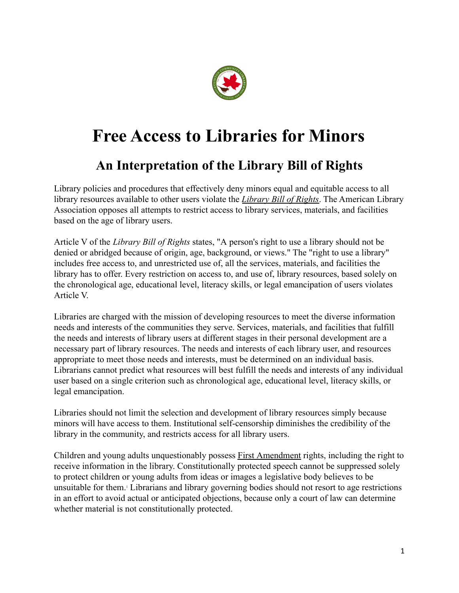

## **Free Access to Libraries for Minors**

## **An Interpretation of the Library Bill of Rights**

Library policies and procedures that effectively deny minors equal and equitable access to all library resources available to other users violate the *[Library Bill of Rights](http://www.ala.org/ala/oif/statementspols/statementsif/librarybillrights.htm)*. The American Library Association opposes all attempts to restrict access to library services, materials, and facilities based on the age of library users.

Article V of the *Library Bill of Rights* states, "A person's right to use a library should not be denied or abridged because of origin, age, background, or views." The "right to use a library" includes free access to, and unrestricted use of, all the services, materials, and facilities the library has to offer. Every restriction on access to, and use of, library resources, based solely on the chronological age, educational level, literacy skills, or legal emancipation of users violates Article V.

Libraries are charged with the mission of developing resources to meet the diverse information needs and interests of the communities they serve. Services, materials, and facilities that fulfill the needs and interests of library users at different stages in their personal development are a necessary part of library resources. The needs and interests of each library user, and resources appropriate to meet those needs and interests, must be determined on an individual basis. Librarians cannot predict what resources will best fulfill the needs and interests of any individual user based on a single criterion such as chronological age, educational level, literacy skills, or legal emancipation.

Libraries should not limit the selection and development of library resources simply because minors will have access to them. Institutional self-censorship diminishes the credibility of the library in the community, and restricts access for all library users.

Children and young adults unquestionably possess First [Amendment](http://www.ala.org/ala/oif/firstamendment/firstamendment.htm) rights, including the right to receive information in the library. Constitutionally protected speech cannot be suppressed solely to protect children or young adults from ideas or images a legislative body believes to be unsuitable for them.<sup>1</sup> Librarians and library governing bodies should not resort to age restrictions in an effort to avoid actual or anticipated objections, because only a court of law can determine whether material is not constitutionally protected.